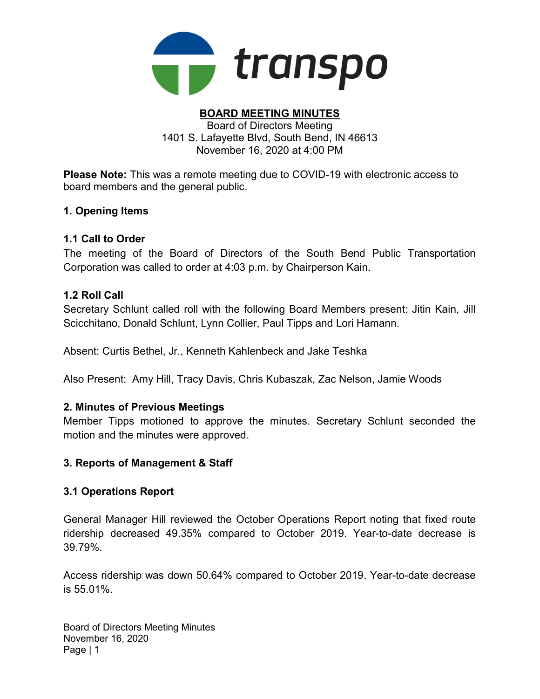

# BOARD MEETING MINUTES

Board of Directors Meeting 1401 S. Lafayette Blvd, South Bend, IN 46613 November 16, 2020 at 4:00 PM

Please Note: This was a remote meeting due to COVID-19 with electronic access to board members and the general public.

### 1. Opening Items

### 1.1 Call to Order

The meeting of the Board of Directors of the South Bend Public Transportation Corporation was called to order at 4:03 p.m. by Chairperson Kain.

### 1.2 Roll Call

Secretary Schlunt called roll with the following Board Members present: Jitin Kain, Jill Scicchitano, Donald Schlunt, Lynn Collier, Paul Tipps and Lori Hamann.

Absent: Curtis Bethel, Jr., Kenneth Kahlenbeck and Jake Teshka

Also Present: Amy Hill, Tracy Davis, Chris Kubaszak, Zac Nelson, Jamie Woods

#### 2. Minutes of Previous Meetings

Member Tipps motioned to approve the minutes. Secretary Schlunt seconded the motion and the minutes were approved.

# 3. Reports of Management & Staff

#### 3.1 Operations Report

General Manager Hill reviewed the October Operations Report noting that fixed route ridership decreased 49.35% compared to October 2019. Year-to-date decrease is 39.79%.

Access ridership was down 50.64% compared to October 2019. Year-to-date decrease is 55.01%.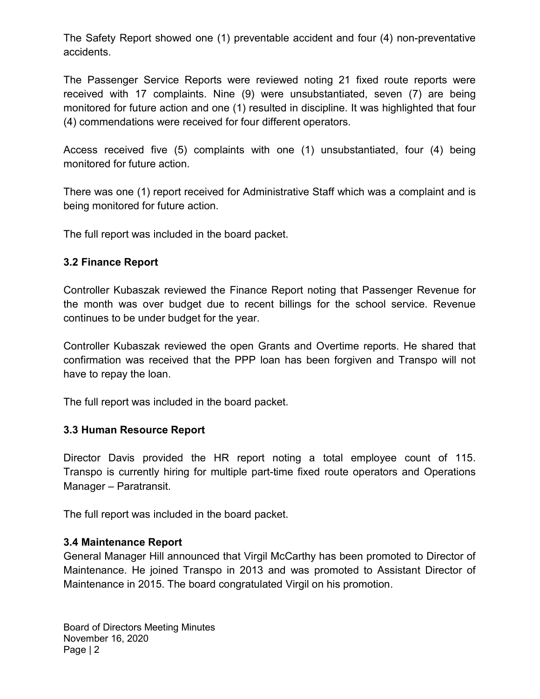The Safety Report showed one (1) preventable accident and four (4) non-preventative accidents.

The Passenger Service Reports were reviewed noting 21 fixed route reports were received with 17 complaints. Nine (9) were unsubstantiated, seven (7) are being monitored for future action and one (1) resulted in discipline. It was highlighted that four (4) commendations were received for four different operators.

Access received five (5) complaints with one (1) unsubstantiated, four (4) being monitored for future action.

There was one (1) report received for Administrative Staff which was a complaint and is being monitored for future action.

The full report was included in the board packet.

# 3.2 Finance Report

Controller Kubaszak reviewed the Finance Report noting that Passenger Revenue for the month was over budget due to recent billings for the school service. Revenue continues to be under budget for the year.

Controller Kubaszak reviewed the open Grants and Overtime reports. He shared that confirmation was received that the PPP loan has been forgiven and Transpo will not have to repay the loan.

The full report was included in the board packet.

# 3.3 Human Resource Report

Director Davis provided the HR report noting a total employee count of 115. Transpo is currently hiring for multiple part-time fixed route operators and Operations Manager – Paratransit.

The full report was included in the board packet.

# 3.4 Maintenance Report

General Manager Hill announced that Virgil McCarthy has been promoted to Director of Maintenance. He joined Transpo in 2013 and was promoted to Assistant Director of Maintenance in 2015. The board congratulated Virgil on his promotion.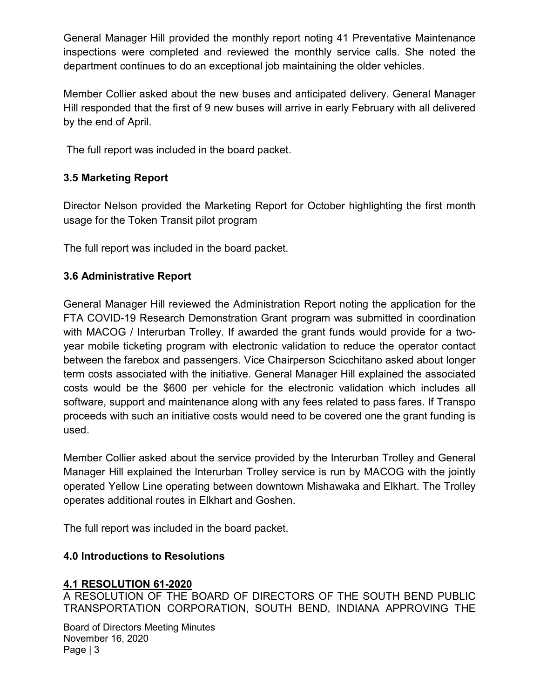General Manager Hill provided the monthly report noting 41 Preventative Maintenance inspections were completed and reviewed the monthly service calls. She noted the department continues to do an exceptional job maintaining the older vehicles.

Member Collier asked about the new buses and anticipated delivery. General Manager Hill responded that the first of 9 new buses will arrive in early February with all delivered by the end of April.

The full report was included in the board packet.

# 3.5 Marketing Report

Director Nelson provided the Marketing Report for October highlighting the first month usage for the Token Transit pilot program

The full report was included in the board packet.

# 3.6 Administrative Report

General Manager Hill reviewed the Administration Report noting the application for the FTA COVID-19 Research Demonstration Grant program was submitted in coordination with MACOG / Interurban Trolley. If awarded the grant funds would provide for a twoyear mobile ticketing program with electronic validation to reduce the operator contact between the farebox and passengers. Vice Chairperson Scicchitano asked about longer term costs associated with the initiative. General Manager Hill explained the associated costs would be the \$600 per vehicle for the electronic validation which includes all software, support and maintenance along with any fees related to pass fares. If Transpo proceeds with such an initiative costs would need to be covered one the grant funding is used.

Member Collier asked about the service provided by the Interurban Trolley and General Manager Hill explained the Interurban Trolley service is run by MACOG with the jointly operated Yellow Line operating between downtown Mishawaka and Elkhart. The Trolley operates additional routes in Elkhart and Goshen.

The full report was included in the board packet.

# 4.0 Introductions to Resolutions

# 4.1 RESOLUTION 61-2020

A RESOLUTION OF THE BOARD OF DIRECTORS OF THE SOUTH BEND PUBLIC TRANSPORTATION CORPORATION, SOUTH BEND, INDIANA APPROVING THE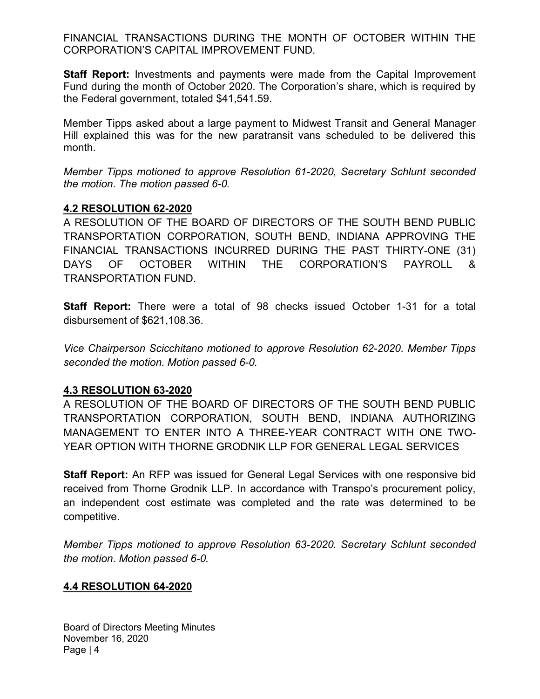FINANCIAL TRANSACTIONS DURING THE MONTH OF OCTOBER WITHIN THE CORPORATION'S CAPITAL IMPROVEMENT FUND.

**Staff Report:** Investments and payments were made from the Capital Improvement Fund during the month of October 2020. The Corporation's share, which is required by the Federal government, totaled \$41,541.59.

Member Tipps asked about a large payment to Midwest Transit and General Manager Hill explained this was for the new paratransit vans scheduled to be delivered this month.

Member Tipps motioned to approve Resolution 61-2020, Secretary Schlunt seconded the motion. The motion passed 6-0.

### 4.2 RESOLUTION 62-2020

A RESOLUTION OF THE BOARD OF DIRECTORS OF THE SOUTH BEND PUBLIC TRANSPORTATION CORPORATION, SOUTH BEND, INDIANA APPROVING THE FINANCIAL TRANSACTIONS INCURRED DURING THE PAST THIRTY-ONE (31) DAYS OF OCTOBER WITHIN THE CORPORATION'S PAYROLL & TRANSPORTATION FUND.

Staff Report: There were a total of 98 checks issued October 1-31 for a total disbursement of \$621,108.36.

Vice Chairperson Scicchitano motioned to approve Resolution 62-2020. Member Tipps seconded the motion. Motion passed 6-0.

#### 4.3 RESOLUTION 63-2020

A RESOLUTION OF THE BOARD OF DIRECTORS OF THE SOUTH BEND PUBLIC TRANSPORTATION CORPORATION, SOUTH BEND, INDIANA AUTHORIZING MANAGEMENT TO ENTER INTO A THREE-YEAR CONTRACT WITH ONE TWO-YEAR OPTION WITH THORNE GRODNIK LLP FOR GENERAL LEGAL SERVICES

Staff Report: An RFP was issued for General Legal Services with one responsive bid received from Thorne Grodnik LLP. In accordance with Transpo's procurement policy, an independent cost estimate was completed and the rate was determined to be competitive.

Member Tipps motioned to approve Resolution 63-2020. Secretary Schlunt seconded the motion. Motion passed 6-0.

# 4.4 RESOLUTION 64-2020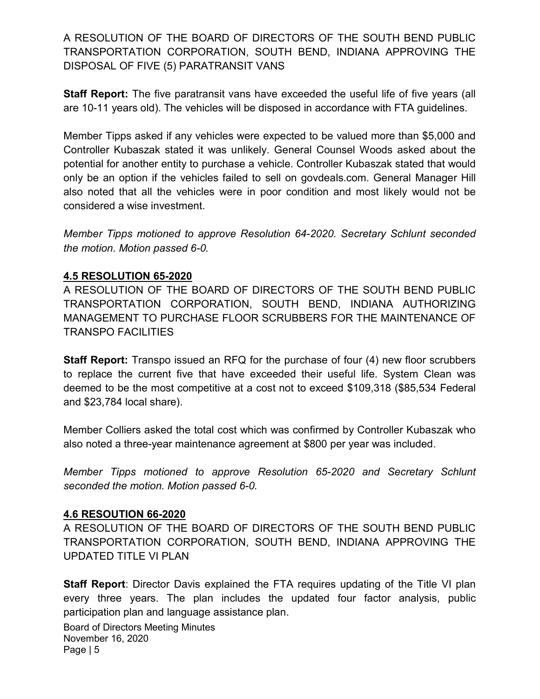A RESOLUTION OF THE BOARD OF DIRECTORS OF THE SOUTH BEND PUBLIC TRANSPORTATION CORPORATION, SOUTH BEND, INDIANA APPROVING THE DISPOSAL OF FIVE (5) PARATRANSIT VANS

Staff Report: The five paratransit vans have exceeded the useful life of five years (all are 10-11 years old). The vehicles will be disposed in accordance with FTA guidelines.

Member Tipps asked if any vehicles were expected to be valued more than \$5,000 and Controller Kubaszak stated it was unlikely. General Counsel Woods asked about the potential for another entity to purchase a vehicle. Controller Kubaszak stated that would only be an option if the vehicles failed to sell on govdeals.com. General Manager Hill also noted that all the vehicles were in poor condition and most likely would not be considered a wise investment.

Member Tipps motioned to approve Resolution 64-2020. Secretary Schlunt seconded the motion. Motion passed 6-0.

### 4.5 RESOLUTION 65-2020

A RESOLUTION OF THE BOARD OF DIRECTORS OF THE SOUTH BEND PUBLIC TRANSPORTATION CORPORATION, SOUTH BEND, INDIANA AUTHORIZING MANAGEMENT TO PURCHASE FLOOR SCRUBBERS FOR THE MAINTENANCE OF TRANSPO FACILITIES

Staff Report: Transpo issued an RFQ for the purchase of four (4) new floor scrubbers to replace the current five that have exceeded their useful life. System Clean was deemed to be the most competitive at a cost not to exceed \$109,318 (\$85,534 Federal and \$23,784 local share).

Member Colliers asked the total cost which was confirmed by Controller Kubaszak who also noted a three-year maintenance agreement at \$800 per year was included.

Member Tipps motioned to approve Resolution 65-2020 and Secretary Schlunt seconded the motion. Motion passed 6-0.

#### 4.6 RESOUTION 66-2020

A RESOLUTION OF THE BOARD OF DIRECTORS OF THE SOUTH BEND PUBLIC TRANSPORTATION CORPORATION, SOUTH BEND, INDIANA APPROVING THE UPDATED TITLE VI PLAN

Staff Report: Director Davis explained the FTA requires updating of the Title VI plan every three years. The plan includes the updated four factor analysis, public participation plan and language assistance plan.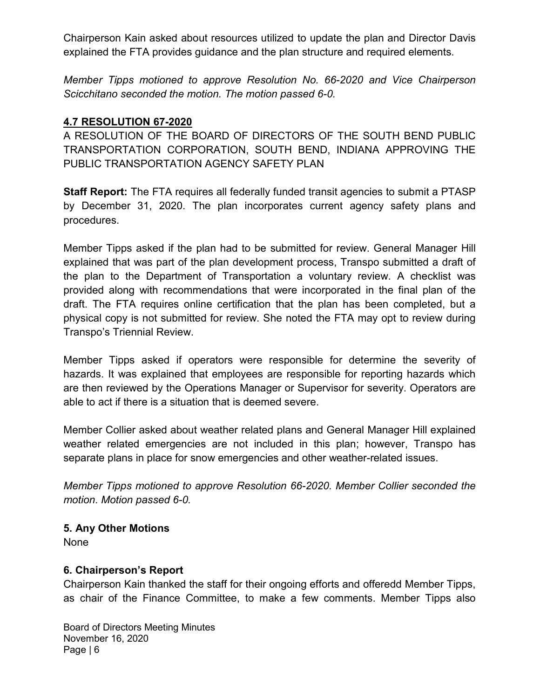Chairperson Kain asked about resources utilized to update the plan and Director Davis explained the FTA provides guidance and the plan structure and required elements.

Member Tipps motioned to approve Resolution No. 66-2020 and Vice Chairperson Scicchitano seconded the motion. The motion passed 6-0.

### 4.7 RESOLUTION 67-2020

A RESOLUTION OF THE BOARD OF DIRECTORS OF THE SOUTH BEND PUBLIC TRANSPORTATION CORPORATION, SOUTH BEND, INDIANA APPROVING THE PUBLIC TRANSPORTATION AGENCY SAFETY PLAN

Staff Report: The FTA requires all federally funded transit agencies to submit a PTASP by December 31, 2020. The plan incorporates current agency safety plans and procedures.

Member Tipps asked if the plan had to be submitted for review. General Manager Hill explained that was part of the plan development process, Transpo submitted a draft of the plan to the Department of Transportation a voluntary review. A checklist was provided along with recommendations that were incorporated in the final plan of the draft. The FTA requires online certification that the plan has been completed, but a physical copy is not submitted for review. She noted the FTA may opt to review during Transpo's Triennial Review.

Member Tipps asked if operators were responsible for determine the severity of hazards. It was explained that employees are responsible for reporting hazards which are then reviewed by the Operations Manager or Supervisor for severity. Operators are able to act if there is a situation that is deemed severe.

Member Collier asked about weather related plans and General Manager Hill explained weather related emergencies are not included in this plan; however, Transpo has separate plans in place for snow emergencies and other weather-related issues.

Member Tipps motioned to approve Resolution 66-2020. Member Collier seconded the motion. Motion passed 6-0.

# 5. Any Other Motions

None

# 6. Chairperson's Report

Chairperson Kain thanked the staff for their ongoing efforts and offeredd Member Tipps, as chair of the Finance Committee, to make a few comments. Member Tipps also